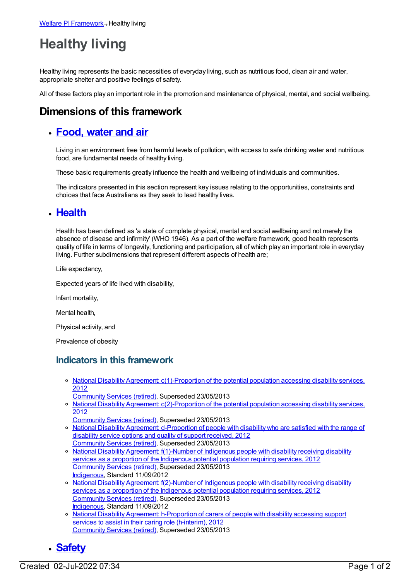# **Healthy living**

Healthy living represents the basic necessities of everyday living, such as nutritious food, clean air and water, appropriate shelter and positive feelings of safety.

All of these factors play an important role in the promotion and maintenance of physical, mental, and social wellbeing.

## **Dimensions of this framework**

#### **[Food,](https://meteor.aihw.gov.au/content/392702) water and air**

Living in an environment free from harmful levels of pollution, with access to safe drinking water and nutritious food, are fundamental needs of healthy living.

These basic requirements greatly influence the health and wellbeing of individuals and communities.

The indicators presented in this section represent key issues relating to the opportunities, constraints and choices that face Australians as they seek to lead healthy lives.

#### **[Health](https://meteor.aihw.gov.au/content/392701)**

Health has been defined as 'a state of complete physical, mental and social wellbeing and not merely the absence of disease and infirmity' (WHO 1946). As a part of the welfare framework, good health represents quality of life in terms of longevity, functioning and participation, all of which play an important role in everyday living. Further subdimensions that represent different aspects of health are;

Life expectancy,

Expected years of life lived with disability,

Infant mortality,

Mental health,

Physical activity, and

Prevalence of obesity

#### **Indicators in this framework**

- o National Disability Agreement: [c\(1\)-Proportion](https://meteor.aihw.gov.au/content/467916) of the potential population accessing disability services, 2012
	- [Community](https://meteor.aihw.gov.au/RegistrationAuthority/1) Services (retired), Superseded 23/05/2013
- National Disability Agreement: [c\(2\)-Proportion](https://meteor.aihw.gov.au/content/467932) of the potential population accessing disability services, 2012
	- [Community](https://meteor.aihw.gov.au/RegistrationAuthority/1) Services (retired), Superseded 23/05/2013
- National Disability Agreement: [d-Proportion](https://meteor.aihw.gov.au/content/467934) of people with disability who are satisfied with the range of disability service options and quality of support received, 2012 [Community](https://meteor.aihw.gov.au/RegistrationAuthority/1) Services (retired), Superseded 23/05/2013
- <sup>o</sup> National Disability Agreement: [f\(1\)-Number](https://meteor.aihw.gov.au/content/467943) of Indigenous people with disability receiving disability services as a proportion of the Indigenous potential population requiring services, 2012 [Community](https://meteor.aihw.gov.au/RegistrationAuthority/1) Services (retired), Superseded 23/05/2013 [Indigenous](https://meteor.aihw.gov.au/RegistrationAuthority/6), Standard 11/09/2012
- o National Disability Agreement: [f\(2\)-Number](https://meteor.aihw.gov.au/content/467946) of Indigenous people with disability receiving disability services as a proportion of the Indigenous potential population requiring services, 2012 [Community](https://meteor.aihw.gov.au/RegistrationAuthority/1) Services (retired), Superseded 23/05/2013 [Indigenous](https://meteor.aihw.gov.au/RegistrationAuthority/6), Standard 11/09/2012
- o National Disability Agreement: [h-Proportion](https://meteor.aihw.gov.au/content/467950) of carers of people with disability accessing support services to assist in their caring role (h-interim), 2012 [Community](https://meteor.aihw.gov.au/RegistrationAuthority/1) Services (retired), Superseded 23/05/2013

## **[Safety](https://meteor.aihw.gov.au/content/392700)**